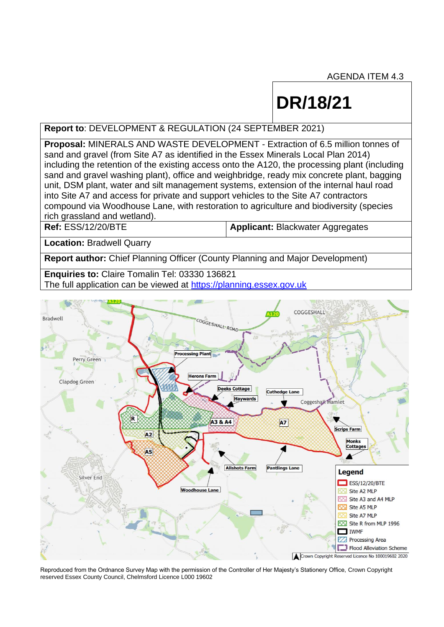AGENDA ITEM 4.3

# **DR/18/21**

## **Report to**: DEVELOPMENT & REGULATION (24 SEPTEMBER 2021)

**Proposal:** MINERALS AND WASTE DEVELOPMENT - Extraction of 6.5 million tonnes of sand and gravel (from Site A7 as identified in the Essex Minerals Local Plan 2014) including the retention of the existing access onto the A120, the processing plant (including sand and gravel washing plant), office and weighbridge, ready mix concrete plant, bagging unit, DSM plant, water and silt management systems, extension of the internal haul road into Site A7 and access for private and support vehicles to the Site A7 contractors compound via Woodhouse Lane, with restoration to agriculture and biodiversity (species rich grassland and wetland).

**Ref:** ESS/12/20/BTE **Applicant:** Blackwater Aggregates

**Location:** Bradwell Quarry

**Report author:** Chief Planning Officer (County Planning and Major Development)

**Enquiries to:** Claire Tomalin Tel: 03330 136821 The full application can be viewed at [https://planning.essex.gov.uk](https://planning.essex.gov.uk/) 



Reproduced from the Ordnance Survey Map with the permission of the Controller of Her Majesty's Stationery Office, Crown Copyright reserved Essex County Council, Chelmsford Licence L000 19602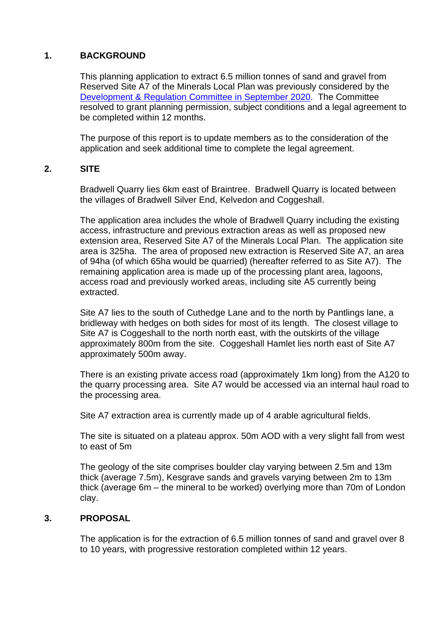# **1. BACKGROUND**

This planning application to extract 6.5 million tonnes of sand and gravel from Reserved Site A7 of the Minerals Local Plan was previously considered by the [Development & Regulation](https://cmis.essex.gov.uk/essexcmis5/CalendarofMeetings/tabid/73/ctl/ViewMeetingPublic/mid/410/Meeting/4599/Committee/37/SelectedTab/Documents/Default.aspx) Committee in September 2020. The Committee resolved to grant planning permission, subject conditions and a legal agreement to be completed within 12 months.

The purpose of this report is to update members as to the consideration of the application and seek additional time to complete the legal agreement.

## **2. SITE**

Bradwell Quarry lies 6km east of Braintree. Bradwell Quarry is located between the villages of Bradwell Silver End, Kelvedon and Coggeshall.

The application area includes the whole of Bradwell Quarry including the existing access, infrastructure and previous extraction areas as well as proposed new extension area, Reserved Site A7 of the Minerals Local Plan. The application site area is 325ha. The area of proposed new extraction is Reserved Site A7, an area of 94ha (of which 65ha would be quarried) (hereafter referred to as Site A7). The remaining application area is made up of the processing plant area, lagoons, access road and previously worked areas, including site A5 currently being extracted.

Site A7 lies to the south of Cuthedge Lane and to the north by Pantlings lane, a bridleway with hedges on both sides for most of its length. The closest village to Site A7 is Coggeshall to the north north east, with the outskirts of the village approximately 800m from the site. Coggeshall Hamlet lies north east of Site A7 approximately 500m away.

There is an existing private access road (approximately 1km long) from the A120 to the quarry processing area. Site A7 would be accessed via an internal haul road to the processing area.

Site A7 extraction area is currently made up of 4 arable agricultural fields.

The site is situated on a plateau approx. 50m AOD with a very slight fall from west to east of 5m

The geology of the site comprises boulder clay varying between 2.5m and 13m thick (average 7.5m), Kesgrave sands and gravels varying between 2m to 13m thick (average 6m – the mineral to be worked) overlying more than 70m of London clay.

# **3. PROPOSAL**

The application is for the extraction of 6.5 million tonnes of sand and gravel over 8 to 10 years, with progressive restoration completed within 12 years.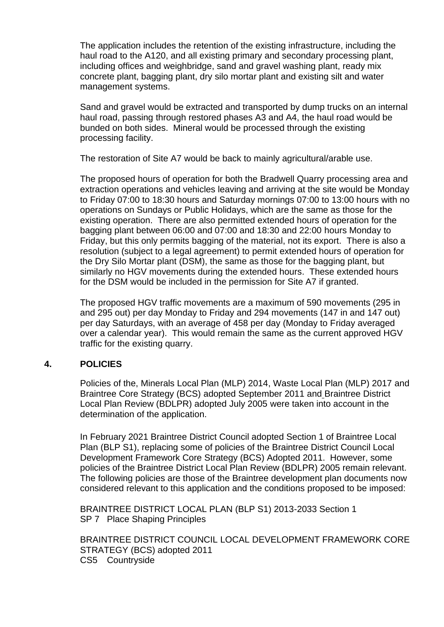The application includes the retention of the existing infrastructure, including the haul road to the A120, and all existing primary and secondary processing plant, including offices and weighbridge, sand and gravel washing plant, ready mix concrete plant, bagging plant, dry silo mortar plant and existing silt and water management systems.

Sand and gravel would be extracted and transported by dump trucks on an internal haul road, passing through restored phases A3 and A4, the haul road would be bunded on both sides. Mineral would be processed through the existing processing facility.

The restoration of Site A7 would be back to mainly agricultural/arable use.

The proposed hours of operation for both the Bradwell Quarry processing area and extraction operations and vehicles leaving and arriving at the site would be Monday to Friday 07:00 to 18:30 hours and Saturday mornings 07:00 to 13:00 hours with no operations on Sundays or Public Holidays, which are the same as those for the existing operation. There are also permitted extended hours of operation for the bagging plant between 06:00 and 07:00 and 18:30 and 22:00 hours Monday to Friday, but this only permits bagging of the material, not its export. There is also a resolution (subject to a legal agreement) to permit extended hours of operation for the Dry Silo Mortar plant (DSM), the same as those for the bagging plant, but similarly no HGV movements during the extended hours. These extended hours for the DSM would be included in the permission for Site A7 if granted.

The proposed HGV traffic movements are a maximum of 590 movements (295 in and 295 out) per day Monday to Friday and 294 movements (147 in and 147 out) per day Saturdays, with an average of 458 per day (Monday to Friday averaged over a calendar year). This would remain the same as the current approved HGV traffic for the existing quarry.

#### **4. POLICIES**

Policies of the, Minerals Local Plan (MLP) 2014, Waste Local Plan (MLP) 2017 and Braintree Core Strategy (BCS) adopted September 2011 and Braintree District Local Plan Review (BDLPR) adopted July 2005 were taken into account in the determination of the application.

In February 2021 Braintree District Council adopted Section 1 of Braintree Local Plan (BLP S1), replacing some of policies of the Braintree District Council Local Development Framework Core Strategy (BCS) Adopted 2011. However, some policies of the Braintree District Local Plan Review (BDLPR) 2005 remain relevant. The following policies are those of the Braintree development plan documents now considered relevant to this application and the conditions proposed to be imposed:

BRAINTREE DISTRICT LOCAL PLAN (BLP S1) 2013-2033 Section 1 SP 7 Place Shaping Principles

BRAINTREE DISTRICT COUNCIL LOCAL DEVELOPMENT FRAMEWORK CORE STRATEGY (BCS) adopted 2011 CS5 Countryside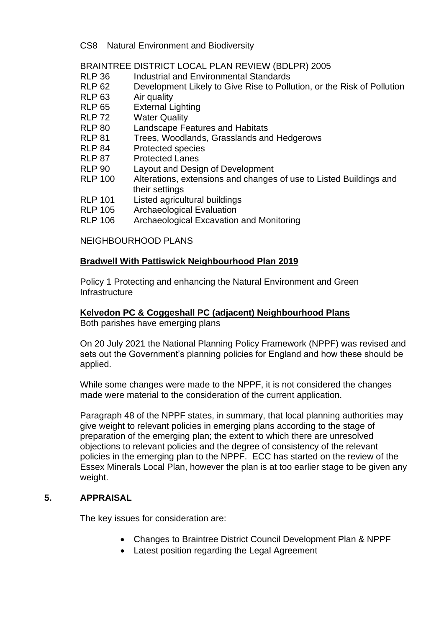CS8 Natural Environment and Biodiversity

BRAINTREE DISTRICT LOCAL PLAN REVIEW (BDLPR) 2005

- RLP 36 Industrial and Environmental Standards
- RLP 62 Development Likely to Give Rise to Pollution, or the Risk of Pollution
- RLP 63 Air quality
- RLP 65 External Lighting
- RLP 72 Water Quality
- RLP 80 Landscape Features and Habitats
- RLP 81 Trees, Woodlands, Grasslands and Hedgerows
- RLP 84 Protected species
- RLP 87 Protected Lanes
- RLP 90 Layout and Design of Development
- RLP 100 Alterations, extensions and changes of use to Listed Buildings and their settings
- RLP 101 Listed agricultural buildings
- RLP 105 Archaeological Evaluation
- RLP 106 Archaeological Excavation and Monitoring

NEIGHBOURHOOD PLANS

#### **Bradwell With Pattiswick Neighbourhood Plan 2019**

Policy 1 Protecting and enhancing the Natural Environment and Green **Infrastructure** 

## **Kelvedon PC & Coggeshall PC (adjacent) Neighbourhood Plans**

Both parishes have emerging plans

On 20 July 2021 the National Planning Policy Framework (NPPF) was revised and sets out the Government's planning policies for England and how these should be applied.

While some changes were made to the NPPF, it is not considered the changes made were material to the consideration of the current application.

Paragraph 48 of the NPPF states, in summary, that local planning authorities may give weight to relevant policies in emerging plans according to the stage of preparation of the emerging plan; the extent to which there are unresolved objections to relevant policies and the degree of consistency of the relevant policies in the emerging plan to the NPPF. ECC has started on the review of the Essex Minerals Local Plan, however the plan is at too earlier stage to be given any weight.

#### **5. APPRAISAL**

The key issues for consideration are:

- Changes to Braintree District Council Development Plan & NPPF
- Latest position regarding the Legal Agreement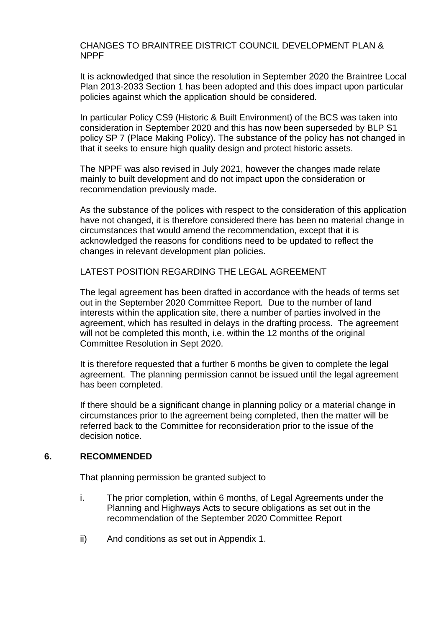#### CHANGES TO BRAINTREE DISTRICT COUNCIL DEVELOPMENT PLAN & NPPF

It is acknowledged that since the resolution in September 2020 the Braintree Local Plan 2013-2033 Section 1 has been adopted and this does impact upon particular policies against which the application should be considered.

In particular Policy CS9 (Historic & Built Environment) of the BCS was taken into consideration in September 2020 and this has now been superseded by BLP S1 policy SP 7 (Place Making Policy). The substance of the policy has not changed in that it seeks to ensure high quality design and protect historic assets.

The NPPF was also revised in July 2021, however the changes made relate mainly to built development and do not impact upon the consideration or recommendation previously made.

As the substance of the polices with respect to the consideration of this application have not changed, it is therefore considered there has been no material change in circumstances that would amend the recommendation, except that it is acknowledged the reasons for conditions need to be updated to reflect the changes in relevant development plan policies.

LATEST POSITION REGARDING THE LEGAL AGREEMENT

The legal agreement has been drafted in accordance with the heads of terms set out in the September 2020 Committee Report. Due to the number of land interests within the application site, there a number of parties involved in the agreement, which has resulted in delays in the drafting process. The agreement will not be completed this month, i.e. within the 12 months of the original Committee Resolution in Sept 2020.

It is therefore requested that a further 6 months be given to complete the legal agreement. The planning permission cannot be issued until the legal agreement has been completed.

If there should be a significant change in planning policy or a material change in circumstances prior to the agreement being completed, then the matter will be referred back to the Committee for reconsideration prior to the issue of the decision notice.

#### **6. RECOMMENDED**

That planning permission be granted subject to

- i. The prior completion, within 6 months, of Legal Agreements under the Planning and Highways Acts to secure obligations as set out in the recommendation of the September 2020 Committee Report
- ii) And conditions as set out in Appendix 1.